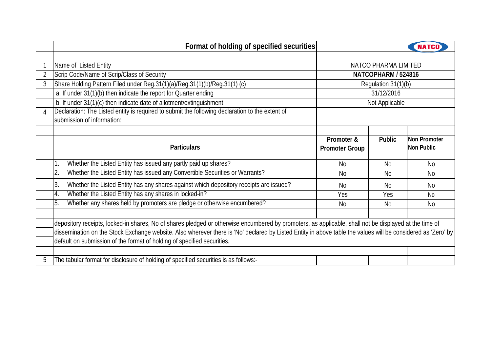|   | Format of holding of specified securities                                                                                                                    |                       |                      |              |  |  |  |  |  |
|---|--------------------------------------------------------------------------------------------------------------------------------------------------------------|-----------------------|----------------------|--------------|--|--|--|--|--|
|   |                                                                                                                                                              |                       |                      |              |  |  |  |  |  |
|   | Name of Listed Entity                                                                                                                                        |                       | NATCO PHARMA LIMITED |              |  |  |  |  |  |
| 2 | Scrip Code/Name of Scrip/Class of Security                                                                                                                   | NATCOPHARM / 524816   |                      |              |  |  |  |  |  |
| 3 | Share Holding Pattern Filed under Reg.31(1)(a)/Reg.31(1)(b)/Reg.31(1) (c)                                                                                    | Regulation 31(1)(b)   |                      |              |  |  |  |  |  |
|   | a. If under 31(1)(b) then indicate the report for Quarter ending                                                                                             | 31/12/2016            |                      |              |  |  |  |  |  |
|   | b. If under 31(1)(c) then indicate date of allotment/extinguishment                                                                                          |                       | Not Applicable       |              |  |  |  |  |  |
| 4 | Declaration: The Listed entity is required to submit the following declaration to the extent of                                                              |                       |                      |              |  |  |  |  |  |
|   | submission of information:                                                                                                                                   |                       |                      |              |  |  |  |  |  |
|   |                                                                                                                                                              |                       |                      |              |  |  |  |  |  |
|   |                                                                                                                                                              | Promoter &            | <b>Public</b>        | Non Promoter |  |  |  |  |  |
|   | <b>Particulars</b>                                                                                                                                           | <b>Promoter Group</b> |                      | Non Public   |  |  |  |  |  |
|   | Whether the Listed Entity has issued any partly paid up shares?                                                                                              | <b>No</b>             | <b>No</b>            | <b>No</b>    |  |  |  |  |  |
|   | Whether the Listed Entity has issued any Convertible Securities or Warrants?<br>2.                                                                           | <b>No</b>             | <b>No</b>            | <b>No</b>    |  |  |  |  |  |
|   | Whether the Listed Entity has any shares against which depository receipts are issued?<br>3.                                                                 | <b>No</b>             | <b>No</b>            | No           |  |  |  |  |  |
|   | Whether the Listed Entity has any shares in locked-in?<br>4.                                                                                                 | Yes                   | Yes                  | <b>No</b>    |  |  |  |  |  |
|   | Whether any shares held by promoters are pledge or otherwise encumbered?<br>5.                                                                               | <b>No</b>             | <b>No</b>            | <b>No</b>    |  |  |  |  |  |
|   |                                                                                                                                                              |                       |                      |              |  |  |  |  |  |
|   | depository receipts, locked-in shares, No of shares pledged or otherwise encumbered by promoters, as applicable, shall not be displayed at the time of       |                       |                      |              |  |  |  |  |  |
|   | dissemination on the Stock Exchange website. Also wherever there is 'No' declared by Listed Entity in above table the values will be considered as 'Zero' by |                       |                      |              |  |  |  |  |  |
|   | default on submission of the format of holding of specified securities.                                                                                      |                       |                      |              |  |  |  |  |  |
|   |                                                                                                                                                              |                       |                      |              |  |  |  |  |  |
| 5 | The tabular format for disclosure of holding of specified securities is as follows:-                                                                         |                       |                      |              |  |  |  |  |  |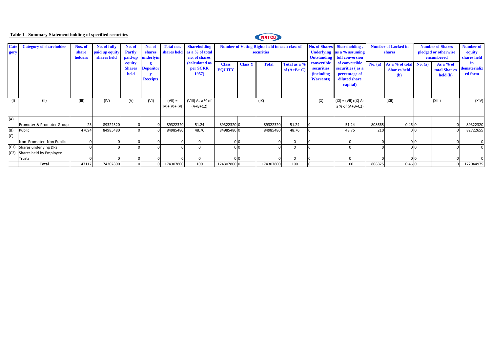## **Table I - Summary Statement holding of specified securities**

# NATCO

| <b>Cate</b> | <b>Category of shareholder</b> | Nos. of | No. of fully   | No. of        | No. of            | <b>Total nos.</b> | <b>Shareholding</b>         |               |                | <b>Number of Voting Rights held in each class of</b> |              |                    | No. of Shares Shareholding,        | <b>Number of Locked in</b> |                           | <b>Number of Shares</b> | <b>Number of</b>          |              |
|-------------|--------------------------------|---------|----------------|---------------|-------------------|-------------------|-----------------------------|---------------|----------------|------------------------------------------------------|--------------|--------------------|------------------------------------|----------------------------|---------------------------|-------------------------|---------------------------|--------------|
| gory        |                                | share   | paid up equity | <b>Partly</b> | shares            |                   | shares held as a % of total |               |                | securities                                           |              |                    | Underlying as a % assuming         |                            | shares                    | pledged or otherwise    | equity                    |              |
|             |                                | holders | shares held    |               | paid-up underlyin |                   | no. of shares               |               |                |                                                      |              |                    | <b>Outstanding</b> full conversion |                            |                           | encumbered              | shares held               |              |
|             |                                |         |                | equity        |                   |                   | (calculated as              | <b>Class</b>  | <b>Class Y</b> | <b>Total</b>                                         | Total as a % | convertible        | of convertible                     | No. (a)                    | As a % of total $No. (a)$ |                         | As a % of                 | in           |
|             |                                |         |                | <b>Shares</b> | <b>Depositor</b>  |                   | per SCRR                    | <b>EQUITY</b> |                |                                                      | of $(A+B+C)$ | securities         | securities (as a                   |                            | <b>Shar es held</b>       |                         | total Shar es             | dematerializ |
|             |                                |         |                | held          |                   |                   | 1957)                       |               |                |                                                      |              | <i>(including)</i> | percentage of                      |                            | (b)                       |                         | $\text{held}(\textbf{b})$ | ed form      |
|             |                                |         |                |               | <b>Receipts</b>   |                   |                             |               |                |                                                      |              | <b>Warrants</b> )  | diluted share                      |                            |                           |                         |                           |              |
|             |                                |         |                |               |                   |                   |                             |               |                |                                                      |              |                    | capital)                           |                            |                           |                         |                           |              |
|             |                                |         |                |               |                   |                   |                             |               |                |                                                      |              |                    |                                    |                            |                           |                         |                           |              |
| (1)         | (11)                           | (III)   | (IV)           | (V)           | (VI)              | $(VII) =$         | (VIII) As a % of            |               |                | (IX)                                                 |              | (X)                | $(XI) = (VII)+(X) As$              |                            | (XII)                     |                         | (XIII)                    | (XIV)        |
|             |                                |         |                |               |                   | $(IV)+(V)+(V)$    | $(A+B+C2)$                  |               |                |                                                      |              |                    | a % of (A+B+C2)                    |                            |                           |                         |                           |              |
|             |                                |         |                |               |                   |                   |                             |               |                |                                                      |              |                    |                                    |                            |                           |                         |                           |              |
| (A)         |                                |         |                |               |                   |                   |                             |               |                |                                                      |              |                    |                                    |                            |                           |                         |                           |              |
|             | Promoter & Promoter Group      | 23      | 89322320       |               |                   | 89322320          | 51.24                       | 89322320 0    |                | 89322320                                             | 51.24        |                    | 51.24                              | 808665                     | 0.460                     |                         |                           | 89322320     |
| (B)         | Public                         | 47094   | 84985480       |               |                   | 84985480          | 48.76                       | 84985480 0    |                | 84985480                                             | 48.76        |                    | 48.76                              | 210                        |                           | 0 <sub>0</sub>          |                           | 82722655     |
| (C)         |                                |         |                |               |                   |                   |                             |               |                |                                                      |              |                    |                                    |                            |                           |                         |                           |              |
|             | Non Promoter- Non Public       |         |                |               |                   |                   | 0                           |               | 010            |                                                      |              |                    | $\mathbf 0$                        |                            |                           | 0 0                     |                           |              |
|             | (C1) Shares underlying DRs     |         |                |               |                   |                   | $\Omega$                    |               | טונ            |                                                      | $\Omega$     |                    | $\Omega$                           |                            |                           | 0 <sub>0</sub>          |                           |              |
|             | (C2) Shares held by Employee   |         |                |               |                   |                   |                             |               |                |                                                      |              |                    |                                    |                            |                           |                         |                           |              |
|             | Trusts                         |         |                |               |                   |                   | $\Omega$                    |               |                |                                                      |              |                    | $\mathbf 0$                        |                            |                           | 0 <sub>0</sub>          |                           |              |
|             | Total                          | 47117   | 174307800      |               |                   | 174307800         | 100                         | 174307800 0   |                | 174307800                                            | 100          |                    | 100                                | 808875                     | 0.460                     |                         |                           | 172044975    |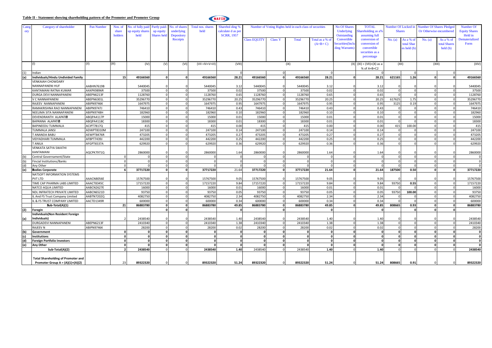#### **Table II - Statement showing shareholding pattern of the Promoter and Promoter Group**



| Catey | Category of shareholder                   | Pan Number        | Nos. of                  | No. of fully paid Partly paid |             | No. of shares     | Total nos. shares     | Sharehol ding %    |                     |                | Number of Voting Rights held in each class of securities | No Of Shares   | <b>TOTAL</b>    | Number Of Locked in         |               |            | <b>Number Of Shares Pledged</b> |              |                                   |
|-------|-------------------------------------------|-------------------|--------------------------|-------------------------------|-------------|-------------------|-----------------------|--------------------|---------------------|----------------|----------------------------------------------------------|----------------|-----------------|-----------------------------|---------------|------------|---------------------------------|--------------|-----------------------------------|
| ory   |                                           |                   | share                    | ip equity shares              | up equity   | underlying        | held                  | calculate d as per |                     |                |                                                          |                | Underlying      | hareholding as a%           | <b>Shares</b> |            | Or Otherwise encumbered         |              | Number Of<br><b>Equity Shares</b> |
|       |                                           |                   | holders                  | held                          | Shares held | <b>Depository</b> |                       | <b>SCRR, 1957</b>  |                     |                | Outstanding                                              | assuming full  |                 |                             |               |            | Held in                         |              |                                   |
|       |                                           |                   |                          |                               |             | Receipts          |                       |                    | <b>Class EQUITY</b> | <b>Class Y</b> | Total                                                    | Total as a % o | Convertible     | conversion of               | No. (a)       | As a % o:  | No. (a)                         | As a % of    | Dematerialized                    |
|       |                                           |                   |                          |                               |             |                   |                       |                    |                     |                |                                                          | $(A+B+C)$      | Securities(Incl | conversion of               |               | total Shar |                                 | total Share  | Form                              |
|       |                                           |                   |                          |                               |             |                   |                       |                    |                     |                |                                                          |                | ding Warrants   | convertible                 |               | es held (b |                                 | held(b)      |                                   |
|       |                                           |                   |                          |                               |             |                   |                       |                    |                     |                |                                                          |                |                 | securities as a             |               |            |                                 |              |                                   |
|       |                                           |                   |                          |                               |             |                   |                       |                    |                     |                |                                                          |                |                 |                             |               |            |                                 |              |                                   |
|       |                                           |                   |                          |                               |             |                   |                       |                    |                     |                |                                                          |                |                 | percentage                  |               |            |                                 |              |                                   |
|       |                                           | (II)              | (III)                    | (IV)                          | (V)         | (VI)              | $(VII = IV + V + VI)$ | (VIII)             |                     |                | (IX)                                                     |                |                 | $(X) (XI) = (VII)+(X)$ as a | (XII)         |            | (XIII)                          |              | (XIV)                             |
|       |                                           |                   |                          |                               |             |                   |                       |                    |                     |                |                                                          |                |                 | % of A+B+C2                 |               |            |                                 |              |                                   |
| (1)   | Indian                                    |                   |                          |                               |             |                   |                       |                    |                     |                |                                                          |                |                 |                             |               |            |                                 |              |                                   |
| (a)   | Individuals/Hindu Undivided Family        |                   | 15                       | 49166560                      |             |                   | 49166560              | 28.21              | 49166560            | $\sqrt{2}$     | 49166560                                                 | 28.21          |                 | 28.21                       | 621165        | 1.26       |                                 |              | 49166560                          |
|       | <b>VENKAIAH CHOWDARY</b>                  |                   |                          |                               |             |                   |                       |                    |                     |                |                                                          |                |                 |                             |               |            |                                 |              |                                   |
|       | NANNAPANENI HUF                           | AABHN7619B        |                          | 544004                        |             |                   | 5440045               | 3.12               | 5440045             |                | 544004                                                   | 3.12           |                 | 3.12                        |               |            |                                 |              | 5440045                           |
|       | KANTAMANI RATNA KUMAR                     |                   |                          |                               |             |                   |                       |                    |                     |                |                                                          |                |                 |                             |               |            |                                 |              |                                   |
|       |                                           | AAXPK9896R        |                          | 37500                         |             |                   | 37500                 | 0.02<br>0.65       | 37500               | $\Omega$       | 37500                                                    | 0.02           |                 | 0.02                        |               |            |                                 |              | 37500                             |
|       | DURGA DEVI NANNAPANENI                    | ABEPN6213F        |                          | 1128760                       |             |                   | 1128760               |                    | 1128760             | $\Omega$       | 1128760                                                  | 0.65           |                 | 0.65                        |               |            |                                 | $\Omega$     | 1128760                           |
|       | V C NANNAPANENI                           | ABEPN6301L        |                          | 35296770                      |             |                   | 35296770              | 20.25              | 3529677             | $\Omega$       | 35296770                                                 | 20.25          |                 | 20.25                       | 617625        | 1.75       |                                 |              | 35296770                          |
|       | RAJEEV NANNAPANENI                        | ABIPN9746K        |                          | 164797                        |             |                   | 1647975               | 0.95               | 164797              |                | 164797                                                   | 0.95           |                 | 0.95                        | 3125          | 0.19       |                                 | $\Omega$     | 1647975                           |
|       | RAMAKRISHNA RAO NANNAPANENI               | ABIPN9747J        |                          | 746410                        |             |                   | 746410                | 0.43               | 746410              |                | 746410                                                   | 0.43           |                 | 0.43                        |               |            |                                 |              | 746410                            |
|       | NEELIMA SITA NANNAPANEN                   | ABIPN9748H        |                          | 182960                        |             |                   | 182960                | 0.10               | 182960              |                | 182960                                                   | 0.10           |                 | 0.10                        |               |            |                                 |              | 182960                            |
|       | DEVENDRANTH ALAPATIE                      | ABQPA4117P        |                          | 15000                         |             |                   | 15000                 | 0.01               | 15000               | $\Omega$       | 15000                                                    | 0.01           |                 | 0.01                        |               |            |                                 | $\Omega$     | 15000                             |
|       | <b>BAPANNA ALAPATIO</b>                   | ABQPA4118C        |                          | 18300                         |             |                   | 18300                 | 0.01               | 18300               | $\Omega$       | 18300                                                    | 0.01           |                 | 0.01                        |               |            |                                 | $\Omega$     | 18300                             |
|       | <b>BAPINEEDU TUMMALA</b>                  | ACIPT7817Q        |                          | 415                           |             |                   | 415                   | 0.00               | 415                 |                | 415                                                      | 0.00           |                 | 0.00                        | 415           | 100.00     |                                 |              | 415                               |
|       | <b>TUMMALA JANSI</b>                      | ADWPT8310M        |                          | 247100                        |             |                   | 247100                | 0.14               | 247100              |                | 247100                                                   | 0.14           |                 | 0.14                        |               |            |                                 |              | 247100                            |
|       | <b>T ANANDA BABU</b>                      | AEWPT8476R        |                          | 473205                        |             |                   | 473205                | 0.27               | 473205              | $\Omega$       | 473205                                                   | 0.27           |                 | 0.27                        |               |            |                                 |              | 473205                            |
|       | VIDYADHARI TUMMALA                        | <b>AFBPT7439J</b> |                          | 442200                        |             |                   | 442200                | 0.25               | 442200              | $\Omega$       | 442200                                                   | 0.25           |                 | 0.25                        |               |            |                                 | $\Omega$     | 442200                            |
|       | <b>T ANILA</b>                            | AFGPT6537A        |                          | 62992                         |             |                   | 629920                | 0.36               | 62992               |                | 629920                                                   | 0.36           |                 | 0.36                        |               |            |                                 |              | 629920                            |
|       | VENKATA SATYA SWATHI                      |                   |                          |                               |             |                   |                       |                    |                     |                |                                                          |                |                 |                             |               |            |                                 |              |                                   |
|       | KANTAMANI                                 | AQCPK7971Q        |                          | 2860000                       |             |                   | 2860000               | 1.64               | 2860000             |                | 2860000                                                  | 1.64           |                 | 1.64                        |               |            |                                 |              | 2860000                           |
| (b)   | Central Governament/State                 |                   | $\Omega$                 |                               |             |                   |                       | $\Omega$           |                     | $\Omega$       |                                                          |                |                 | $\Omega$                    |               |            |                                 | $\Omega$     | $\Omega$                          |
| (b)   | <b>Fincial Institutions/Banks</b>         |                   | $\Omega$                 |                               |             |                   |                       | $\Omega$           |                     | $\Omega$       |                                                          |                |                 |                             |               |            |                                 |              | $\mathbf 0$                       |
| (d)   | Any Other                                 |                   |                          |                               |             |                   |                       |                    |                     |                |                                                          |                |                 |                             |               |            |                                 |              | $\Omega$                          |
| (e)   | <b>Bodies Corporate</b>                   |                   |                          | 37717220                      |             | $\Omega$          | 37717220              | 21.64              | 37717220            | $\Omega$       | 37717220                                                 | 21.64          | $\mathbf{a}$    | 21.64                       | 187500        | 0.50       | $\Omega$                        | $\Omega$     | 37717220                          |
|       | NATSOFT INFORMATION SYSTEMS               |                   |                          |                               |             |                   |                       |                    |                     |                |                                                          |                |                 |                             |               |            |                                 |              |                                   |
|       | PVT LTD                                   | AAACN8056E        |                          | 15767500                      |             |                   | 15767500              | 9.05               | 15767500            |                | 15767500                                                 | 9.05           |                 | 9.05                        |               |            |                                 |              | 15767500                          |
|       | TIME CAP PHARMA LABS LIMITED              | AAACT8345C        |                          | 17157220                      |             |                   | 17157220              | 9.84               | 17157220            |                | 17157220                                                 | 9.84           |                 | 9.84                        | 93750         | 0.55       |                                 |              | 17157220                          |
|       | NATCO AQUA LIMITED                        | AABCN2627E        |                          | 16000                         |             |                   | 16000                 | 0.01               | 16000               | $\Omega$       | 1600                                                     | 0.01           |                 | 0.01                        |               |            |                                 | $\Omega$     | 16000                             |
|       | NDL INFRATECH PRIVATE LIMITED             | AABCN6521D        |                          | 93750                         |             |                   | 93750                 | 0.05               | 93750               | $\Omega$       | 93750                                                    | 0.05           |                 | 0.05                        | 93750         | 100.00     |                                 | $\Omega$     | 93750                             |
|       | L And FS Trust Company Limited            | AABTN7202Q        |                          | 4082750                       |             |                   | 4082750               | 2.34               | 4082750             |                | 4082750                                                  | 2.34           |                 | 2.34                        |               |            |                                 |              | 4082750                           |
|       | IL & FS TRUST COMPANY LIMITED             | AACTD1349R        |                          | 600000                        |             |                   | 600000                | 0.34               | 600000              |                | 60000                                                    | 0.34           |                 | 0.34                        |               |            |                                 |              | 600000                            |
|       | Sub-Total(A)(1)                           |                   | 21                       | 86883780                      | O           |                   | 86883780              | 49.85              | 86883780            | $\mathbf{0}$   | 86883780                                                 | 49.85          | $\Omega$        | 49.85                       | 808665        | 0.93       |                                 | $\mathbf{0}$ | 86883780                          |
| (2)   | Foregin                                   |                   |                          |                               |             | $\Omega$          |                       | $\mathbf{0}$       |                     | $\Omega$       |                                                          | $\Omega$       |                 | $\mathbf{o}$                |               |            |                                 | $\Omega$     |                                   |
|       | Individuals(Non Resident Foreign          |                   |                          |                               |             |                   |                       |                    |                     |                |                                                          |                |                 |                             |               |            |                                 |              |                                   |
| (a)   | Individuals)                              |                   |                          | 2438540                       |             |                   | 2438540               | 1.40               | 2438540             |                | 2438540                                                  | 1.40           |                 | 1.40                        |               |            |                                 |              | 2438540                           |
|       | DURGADEVI NANNAPANENI                     | ABEPN6213F        |                          | 241034                        |             |                   | 2410340               | 1.38               | 2410340             | $\Omega$       | 241034                                                   | 1.38           | $\Omega$        | 1.38                        |               |            |                                 | $\Omega$     | 2410340                           |
|       | <b>RAJEEV N</b>                           | ABIPN9746K        |                          | 28200                         |             |                   | 28200                 | 0.02               | 28200               | $\Omega$       | 28200                                                    | 0.02           |                 | 0.02                        |               |            |                                 | $\Omega$     | 28200                             |
| (b)   | Government                                |                   | $\Omega$                 | n                             |             |                   |                       | $\mathbf{o}$       | $\Omega$            | $\Omega$       |                                                          | $\mathbf{o}$   |                 | $\mathbf{0}$                |               |            |                                 | $\mathbf{0}$ | $\mathbf 0$                       |
| (c)   | Institutions                              |                   | $\Omega$                 | $\Omega$                      |             |                   |                       |                    |                     | $\Omega$       |                                                          |                |                 |                             |               |            |                                 | $\Omega$     | $\mathbf{o}$                      |
| (d)   | <b>Foreign Portfolio Investors</b>        |                   | $\Omega$                 | $\sqrt{2}$                    |             |                   |                       |                    | $\Omega$            | $\mathbf{a}$   |                                                          | $\mathbf{0}$   | $\mathbf{a}$    | $\mathbf{0}$                |               |            |                                 | $\Omega$     | $\Omega$                          |
| (e)   | Any Other                                 |                   | $\Omega$                 | $\Omega$                      |             |                   |                       | $\Omega$           |                     | $\Omega$       |                                                          | $\Omega$       | $\Omega$        | $\mathbf{0}$                | $\Omega$      |            |                                 | $\Omega$     | $\Omega$                          |
|       | Sub-Total(A)(2)                           |                   | $\overline{\phantom{a}}$ | 2438540                       |             |                   | 2438540               | 1.40               | 2438540             |                | 2438540                                                  | 1.40           |                 | 1.40                        |               |            |                                 |              | 2438540                           |
|       |                                           |                   |                          |                               |             |                   |                       |                    |                     |                |                                                          |                |                 |                             |               |            |                                 |              |                                   |
|       | <b>Total Shareholding of Promoter and</b> |                   |                          |                               |             |                   |                       |                    |                     |                |                                                          |                |                 |                             |               |            |                                 |              |                                   |
|       | Promoter Group $A = (A)(1)+(A)(2)$        |                   | 23                       | 89322320                      |             |                   | 89322320              | 51.24              | 89322320            |                | 89322320                                                 | 51.24          |                 | 51.24                       | 808665        | 0.91       |                                 |              | 89322320                          |
|       |                                           |                   |                          |                               |             |                   |                       |                    |                     |                |                                                          |                |                 |                             |               |            |                                 |              |                                   |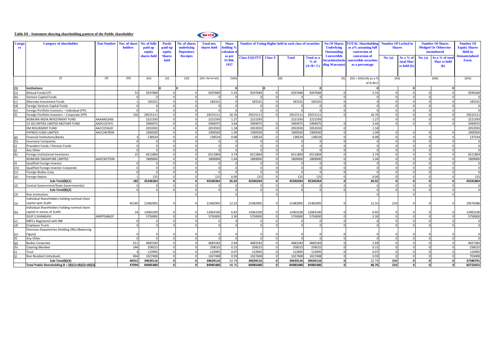#### **Table III - Statement showing shareholding pattern of the Public shareholder**

# NATCO

| Catego<br>ry | <b>Category of shareholder</b>                       | <b>Pan Number</b> | os. of share<br>holders | <b>No. of fully</b><br>paid up<br>equity | Partly<br>paid-up<br>equity | <b>No. of shar</b><br>underlying<br><b>Depository</b> | <b>Total nos.</b><br>shares held | <b>Share</b><br>holding <sup>9</sup><br>calculate d |                             | <b>Number of Voting Rights held in each class of securities</b> |              | <b>No Of Shares</b><br><b>Underlying</b><br><b>Outstanding</b> | <b>FOTAL Shareholding</b><br>as a% assuming full<br>conversion of | <b>Number Of Locked in</b><br><b>Shares</b> |                      | <b>Number Of Shares</b><br><b>Pledged Or Otherwise</b><br>encumbered |              | <b>Number Of</b><br><b>Equity Shares</b><br><b>Held</b> in<br><b>Dematerialized</b> |             |
|--------------|------------------------------------------------------|-------------------|-------------------------|------------------------------------------|-----------------------------|-------------------------------------------------------|----------------------------------|-----------------------------------------------------|-----------------------------|-----------------------------------------------------------------|--------------|----------------------------------------------------------------|-------------------------------------------------------------------|---------------------------------------------|----------------------|----------------------------------------------------------------------|--------------|-------------------------------------------------------------------------------------|-------------|
|              |                                                      |                   |                         | shares held                              | <b>Shares</b><br>held       | <b>Receipts</b>                                       |                                  | as per<br><b>SCRR.</b>                              | <b>Class EQUITY Class Y</b> |                                                                 | <b>Total</b> | <b>Total as a</b><br>% of                                      | <b>Convertible</b><br><b>Securities</b> (Inch                     | conversion of<br>onvertible securities      | No. (a)              | As a % of<br>total Sha                                               | No. (a)      | As a % of tota<br><b>Shar es held</b>                                               | <b>Form</b> |
|              |                                                      |                   |                         |                                          |                             |                                                       |                                  | 1957                                                |                             |                                                                 |              |                                                                | $(A+B+C)$ ding Warrants                                           | as a percentage                             |                      | es held (b)                                                          |              | (b)                                                                                 |             |
|              |                                                      |                   |                         |                                          |                             |                                                       |                                  |                                                     |                             |                                                                 |              |                                                                |                                                                   |                                             |                      |                                                                      |              |                                                                                     |             |
|              | (1)                                                  | (II)              | (III)                   | (IV)                                     | (V)                         | (VI)                                                  | $(VII = IV + V + VI)$            | (VIII)                                              |                             |                                                                 | (IX)         |                                                                | (X)                                                               | $(XI) = (VII)+(X)$ as a %<br>of A+B+C       | (XII)                |                                                                      |              | (XIII)                                                                              | (XIV)       |
| (1)          | <b>Institutions</b>                                  |                   |                         |                                          | n                           |                                                       |                                  | $\mathbf{0}$                                        |                             | I٥                                                              |              |                                                                |                                                                   |                                             |                      | $\mathbf{o}$                                                         |              | ol                                                                                  |             |
|              | Mutual Funds/UTI                                     |                   | 53                      | 9297689                                  |                             |                                                       | 929768                           | 5.33                                                | 9297689                     |                                                                 | 929768       | 9297689                                                        |                                                                   | 5.33                                        |                      |                                                                      |              |                                                                                     | 9294189     |
|              | Venture Capital Funds                                |                   |                         |                                          |                             |                                                       |                                  |                                                     |                             |                                                                 |              |                                                                |                                                                   |                                             |                      |                                                                      |              |                                                                                     |             |
|              | Alternate Investment Funds                           |                   |                         | 183101                                   |                             |                                                       | 183101                           |                                                     | 183101                      |                                                                 | 183101       | 183101                                                         |                                                                   |                                             |                      |                                                                      |              |                                                                                     | 183101      |
| (d)          | Foreign Venture Capital Funds                        |                   |                         |                                          |                             |                                                       |                                  |                                                     |                             |                                                                 |              |                                                                |                                                                   |                                             |                      | $\Omega$                                                             |              |                                                                                     |             |
| (e)          | Foreign Portfolio Investors - Individual (FPI)       |                   |                         | $\Omega$                                 |                             |                                                       |                                  | $\Omega$                                            |                             |                                                                 |              |                                                                |                                                                   |                                             |                      | $\Omega$                                                             |              |                                                                                     | $\Omega$    |
|              | Foreign Portfolio Investors - Corporate (FPI)        |                   | 102                     | 29215111                                 |                             |                                                       | 29215111                         | 16.76                                               | 29215111                    |                                                                 | 29215111     | 29215111                                                       |                                                                   | 16.76                                       |                      | $\Omega$                                                             |              |                                                                                     | 29215111    |
|              | NOMURA INDIA INVESTMENT FUND                         | AAAAN3240L        |                         | 2221593                                  |                             |                                                       | 222159                           | 1.27                                                | 2221593                     |                                                                 | 2221593      | 2221593                                                        |                                                                   | 1.27                                        |                      | $\Omega$                                                             |              |                                                                                     | 2221593     |
|              | CX SECURITIES LIMITED MOTHER FUND                    | AADCC6747J        |                         | 5994975                                  |                             |                                                       | 599497                           | 3.44                                                | 5994975                     |                                                                 | 5994975      | 599497                                                         |                                                                   | 3.44                                        |                      |                                                                      |              |                                                                                     | 5994975     |
|              | EM RESURGENT FUND                                    | AACCE5562C        |                         | 2053593                                  |                             |                                                       | 205359                           | 1.18                                                | 2053593                     |                                                                 | 205359       | 2053593                                                        |                                                                   | 1.18                                        |                      |                                                                      |              |                                                                                     | 2053593     |
|              | <b>HYPNOS FUND LIMITED</b>                           | AACCH6785N        |                         | 1900500                                  |                             |                                                       | 1900500                          | 1.09                                                | 1900500                     |                                                                 | 1900500      | 1900500                                                        |                                                                   | 1.09                                        |                      |                                                                      |              |                                                                                     | 1900500     |
|              | Financial Institutions/Banks                         |                   |                         | 138534                                   |                             |                                                       | 13853                            | 0.08                                                | 138534                      |                                                                 | 138534       | 138534                                                         |                                                                   | 0.08                                        |                      |                                                                      |              |                                                                                     | 137534      |
|              | <b>Insurance Companies</b>                           |                   |                         |                                          |                             |                                                       |                                  |                                                     |                             |                                                                 |              |                                                                |                                                                   |                                             |                      |                                                                      |              |                                                                                     | $\Omega$    |
|              | Provident Funds / Pension Funds                      |                   |                         |                                          |                             |                                                       |                                  |                                                     |                             |                                                                 |              |                                                                |                                                                   |                                             |                      | $\Omega$                                                             |              |                                                                                     | $\Omega$    |
|              | Any Other                                            |                   |                         |                                          |                             |                                                       |                                  | $\sqrt{ }$                                          |                             |                                                                 |              |                                                                |                                                                   |                                             |                      | $\Omega$                                                             |              |                                                                                     | $\Omega$    |
| (k)          | Foreign Institutional Investores                     |                   | 22                      | 6511804                                  |                             |                                                       | 6511804                          | 3.74                                                | 6511804                     |                                                                 | 6511804      | 6511804                                                        |                                                                   | 3.74                                        |                      | $\Omega$                                                             |              |                                                                                     | 6511804     |
|              | NOMURA SINGAPORE LIMITED                             | AADCN2750N        |                         | 1809000                                  |                             |                                                       | 180900                           | 1.04                                                | 180900                      |                                                                 | 1809000      | 180900                                                         |                                                                   | 1.04                                        |                      | $\Omega$                                                             |              |                                                                                     | 1809000     |
|              | Qualified Foreign Investor                           |                   |                         |                                          |                             |                                                       |                                  |                                                     |                             |                                                                 |              |                                                                |                                                                   |                                             |                      | $\Omega$                                                             |              |                                                                                     | $\Omega$    |
| (m)          | Qualified Foreign Investor-Corporate                 |                   |                         |                                          |                             |                                                       |                                  | $\Omega$                                            |                             |                                                                 | C            |                                                                |                                                                   |                                             |                      | $\Omega$                                                             |              |                                                                                     | $\Omega$    |
|              | Foreign Bodies Corp                                  |                   |                         |                                          |                             |                                                       |                                  | $\Omega$                                            |                             |                                                                 | $\Omega$     |                                                                |                                                                   |                                             |                      |                                                                      | $\Omega$     |                                                                                     | $\Omega$    |
|              | <b>Foreign Nation</b>                                |                   |                         | 125                                      |                             |                                                       | 125                              | 0.00                                                | 125                         |                                                                 | 125          | 125                                                            |                                                                   | 0.00                                        |                      |                                                                      |              |                                                                                     | 125         |
|              | Sub-Total(B)(1)                                      |                   | 182                     | 45346364                                 |                             |                                                       | 45346364                         | 26.02                                               | 45346364                    |                                                                 | 45346364     | 45346364                                                       |                                                                   | 26.02                                       |                      | $\Omega$                                                             |              |                                                                                     | 45341864    |
|              | Central Government/State Government(s)               |                   |                         |                                          |                             |                                                       |                                  |                                                     |                             |                                                                 |              |                                                                |                                                                   |                                             |                      |                                                                      |              |                                                                                     |             |
|              | Sub-Total(B)(2)                                      |                   |                         |                                          |                             |                                                       |                                  |                                                     |                             |                                                                 |              |                                                                |                                                                   |                                             |                      | $\Omega$                                                             |              |                                                                                     | $\Omega$    |
| (3)          | Non Institutions                                     |                   |                         |                                          |                             |                                                       |                                  |                                                     |                             |                                                                 |              |                                                                |                                                                   |                                             |                      | $\Omega$                                                             |              |                                                                                     |             |
|              | Individual ShareHolders holding nominal share        |                   |                         |                                          |                             |                                                       |                                  |                                                     |                             |                                                                 |              |                                                                |                                                                   |                                             |                      |                                                                      |              |                                                                                     |             |
|              | capital upto 2Lakh                                   |                   | 45185                   | 21482905                                 |                             |                                                       | 21482905                         | 12.32                                               | 21482905                    |                                                                 | 21482905     | 21482905                                                       |                                                                   | 12.32                                       | 210                  |                                                                      |              |                                                                                     | 19574380    |
|              | Individual ShareHolders holding nominal share        |                   |                         |                                          |                             |                                                       |                                  |                                                     |                             |                                                                 |              |                                                                |                                                                   |                                             |                      |                                                                      |              |                                                                                     |             |
| (b)          | capital in excess of 2Lakh                           |                   | 24                      | 12063100                                 |                             |                                                       | 1206310                          | 6.92                                                | 12063100                    |                                                                 | 12063100     | 12063100                                                       |                                                                   | 6.92                                        |                      |                                                                      |              |                                                                                     | 12063100    |
|              | DILIP.S.SHANGHVI                                     | AMPPS4862F        |                         | 5750000                                  |                             |                                                       | 5750000                          | 3.30                                                | 5750000                     |                                                                 | 5750000      | 5750000                                                        |                                                                   | 3.30                                        |                      |                                                                      |              |                                                                                     | 5750000     |
| (c)          | NBFCs Registered with RBI                            |                   |                         |                                          |                             |                                                       |                                  |                                                     |                             |                                                                 |              |                                                                |                                                                   |                                             |                      |                                                                      |              |                                                                                     | $\Omega$    |
| (d)          | <b>Employee Trusts</b>                               |                   |                         |                                          |                             |                                                       |                                  |                                                     |                             |                                                                 |              |                                                                |                                                                   |                                             |                      |                                                                      |              |                                                                                     | $\Omega$    |
|              | Overseas Depositories (Holding DRs) (Balancing       |                   |                         |                                          |                             |                                                       |                                  |                                                     |                             |                                                                 |              |                                                                |                                                                   |                                             |                      |                                                                      |              |                                                                                     |             |
| (e)          | igure)                                               |                   |                         |                                          |                             |                                                       |                                  | $\Omega$                                            |                             |                                                                 | C            |                                                                |                                                                   |                                             |                      |                                                                      |              |                                                                                     | $\mathbf 0$ |
| (f)          | Any Other                                            |                   |                         |                                          |                             |                                                       |                                  |                                                     |                             |                                                                 |              |                                                                |                                                                   |                                             |                      | $\Omega$                                                             |              |                                                                                     | $\Omega$    |
|              | <b>Bodies Corporate</b>                              |                   | 611                     | 4683183                                  |                             |                                                       | 468318                           | 2.69                                                | 4683183                     |                                                                 | 4683183      | 4683183                                                        |                                                                   | 2.69                                        |                      | $\Omega$                                                             | $\Omega$     | $\Omega$                                                                            | 4657383     |
| (h)          | <b>Clearing Member</b>                               |                   | 244                     | 258525                                   |                             |                                                       | 25852                            | 0.15                                                | 258525                      |                                                                 | 258525       | 258525                                                         |                                                                   | 0.15                                        |                      | $\Omega$                                                             | $\Omega$     |                                                                                     | 258525      |
|              | Trust                                                |                   |                         | 123995                                   |                             |                                                       | 12399                            | 0.07                                                | 123995                      | $\Omega$                                                        | 123995       | 123995                                                         |                                                                   | 0.07                                        | $\Omega$<br>$\Omega$ | $\Omega$                                                             | $\Omega$     |                                                                                     | 123995      |
|              | Non Resident Individuals                             |                   | 844                     | 1027408                                  |                             |                                                       | 102740                           | 0.59                                                | 1027408                     | $\Omega$                                                        | 1027408      | 1027408                                                        |                                                                   | 0.59                                        |                      | $\Omega$                                                             | $\Omega$     |                                                                                     | 703408      |
|              | Sub-Total(B)(3)                                      |                   | 46912                   | 39639116                                 |                             |                                                       | 39639116                         | 22.74                                               | 39639116                    |                                                                 | 39639116     | 39639116                                                       |                                                                   | 22.74                                       | 210                  | $\mathbf{0}$                                                         |              | $\Omega$                                                                            | 37380791    |
|              | Total Public Shareholding B = $(B)(1)+(B)(2)+(B)(3)$ |                   | 47094                   | 84985480                                 |                             |                                                       | 84985480                         | 48.76                                               | 84985480                    |                                                                 | 84985480     | 84985480                                                       |                                                                   | 48.76                                       | 210                  | $\mathbf{0}$                                                         | $\mathbf{0}$ | $\mathbf 0$                                                                         | 82722655    |